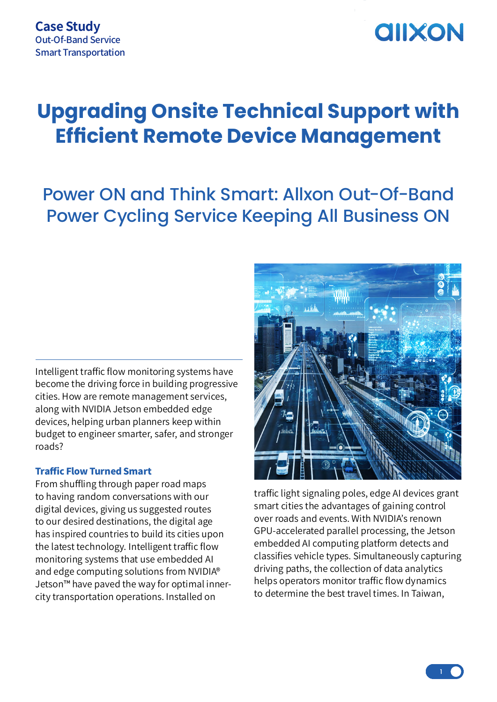## **AIIXON**

### **Upgrading Onsite Technical Support with Efficient Remote Device Management**

### Power ON and Think Smart: Allxon Out-Of-Band Power Cycling Service Keeping All Business ON

Intelligent traffic flow monitoring systems have become the driving force in building progressive cities. How are remote management services, along with NVIDIA Jetson embedded edge devices, helping urban planners keep within budget to engineer smarter, safer, and stronger roads?

#### Traffic Flow Turned Smart

From shuffling through paper road maps to having random conversations with our digital devices, giving us suggested routes to our desired destinations, the digital age has inspired countries to build its cities upon the latest technology. Intelligent traffic flow monitoring systems that use embedded AI and edge computing solutions from NVIDIA® Jetson™ have paved the way for optimal innercity transportation operations. Installed on



traffic light signaling poles, edge AI devices grant smart cities the advantages of gaining control over roads and events. With NVIDIA's renown GPU-accelerated parallel processing, the Jetson embedded AI computing platform detects and classifies vehicle types. Simultaneously capturing driving paths, the collection of data analytics helps operators monitor traffic flow dynamics to determine the best travel times. In Taiwan,

 $\frac{1}{1}$